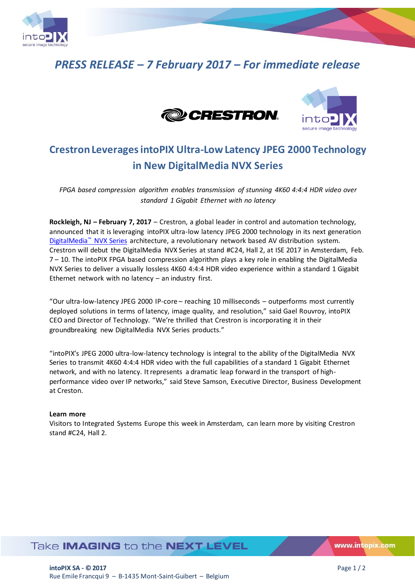

# *PRESS RELEASE – 7 February 2017 – For immediate release*





## **Crestron Leverages intoPIX Ultra-Low Latency JPEG 2000 Technology in New DigitalMedia NVX Series**

*FPGA based compression algorithm enables transmission of stunning 4K60 4:4:4 HDR video over standard 1 Gigabit Ethernet with no latency*

**Rockleigh, NJ – February 7, 2017** – Crestron, a global leader in control and automation technology, announced that it is leveraging intoPIX ultra-low latency JPEG 2000 technology in its next generation [DigitalMedia](http://www.crestron.com/dm)™ NVX Series architecture, a revolutionary network based AV distribution system. Crestron will debut the DigitalMedia NVX Series at stand #C24, Hall 2, at ISE 2017 in Amsterdam, Feb. 7 – 10. The intoPIX FPGA based compression algorithm plays a key role in enabling the DigitalMedia NVX Series to deliver a visually lossless 4K60 4:4:4 HDR video experience within a standard 1 Gigabit Ethernet network with no latency – an industry first.

"Our ultra-low-latency JPEG 2000 IP-core – reaching 10 milliseconds – outperforms most currently deployed solutions in terms of latency, image quality, and resolution," said Gael Rouvroy, intoPIX CEO and Director of Technology. "We're thrilled that Crestron is incorporating it in their groundbreaking new DigitalMedia NVX Series products."

"intoPIX's JPEG 2000 ultra-low-latency technology is integral to the ability of the DigitalMedia NVX Series to transmit 4K60 4:4:4 HDR video with the full capabilities of a standard 1 Gigabit Ethernet network, and with no latency. It represents a dramatic leap forward in the transport of highperformance video over IP networks," said Steve Samson, Executive Director, Business Development at Creston.

### **Learn more**

Visitors to Integrated Systems Europe this week in Amsterdam, can learn more by visiting Crestron stand #C24, Hall 2.

## Take **IMAGING** to the **NEXT LEVEL**

www.intopix.com